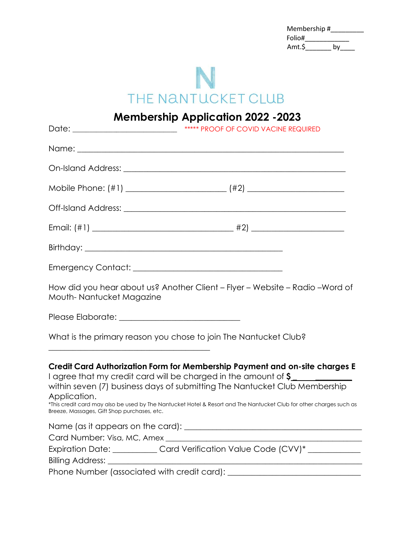| Membership # |  |
|--------------|--|
| Folio#       |  |
| Amt.\$<br>b٧ |  |

# THE NANTUCKET CLUB

| <b>Membership Application 2022 -2023</b><br>Date: ________________________________ ***** PROOF OF COVID VACINE REQUIRED                                                                                                                                                                                                                                                                                            |
|--------------------------------------------------------------------------------------------------------------------------------------------------------------------------------------------------------------------------------------------------------------------------------------------------------------------------------------------------------------------------------------------------------------------|
|                                                                                                                                                                                                                                                                                                                                                                                                                    |
|                                                                                                                                                                                                                                                                                                                                                                                                                    |
|                                                                                                                                                                                                                                                                                                                                                                                                                    |
|                                                                                                                                                                                                                                                                                                                                                                                                                    |
|                                                                                                                                                                                                                                                                                                                                                                                                                    |
|                                                                                                                                                                                                                                                                                                                                                                                                                    |
|                                                                                                                                                                                                                                                                                                                                                                                                                    |
|                                                                                                                                                                                                                                                                                                                                                                                                                    |
| How did you hear about us? Another Client - Flyer - Website - Radio - Word of<br>Mouth-Nantucket Magazine                                                                                                                                                                                                                                                                                                          |
|                                                                                                                                                                                                                                                                                                                                                                                                                    |
| What is the primary reason you chose to join The Nantucket Club?                                                                                                                                                                                                                                                                                                                                                   |
| Credit Card Authorization Form for Membership Payment and on-site charges E<br>I agree that my credit card will be charged in the amount of \$<br>within seven (7) business days of submitting The Nantucket Club Membership<br>Application.<br>*This credit card may also be used by The Nantucket Hotel & Resort and The Nantucket Club for other charges such as<br>Breeze, Massages, Gift Shop purchases, etc. |
| Expiration Date: ____________Card Verification Value Code (CVV)* ______________                                                                                                                                                                                                                                                                                                                                    |

Phone Number (associated with credit card): \_\_\_\_\_\_\_\_\_\_\_\_\_\_\_\_\_\_\_\_\_\_\_\_\_\_\_\_\_\_\_\_\_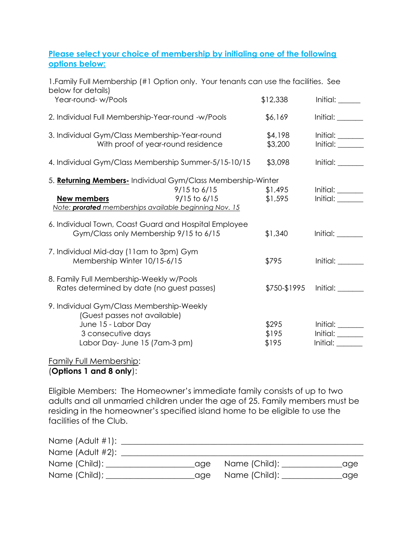# Please select your choice of membership by initialing one of the following options below:

1.Family Full Membership (#1 Option only. Your tenants can use the facilities. See below for details)

| Year-round-w/Pools                                                                                                                                                               | \$12,338                | Initial:                                      |
|----------------------------------------------------------------------------------------------------------------------------------------------------------------------------------|-------------------------|-----------------------------------------------|
| 2. Individual Full Membership-Year-round -w/Pools                                                                                                                                | \$6,169                 | Initial:                                      |
| 3. Individual Gym/Class Membership-Year-round<br>With proof of year-round residence                                                                                              | \$4,198<br>\$3,200      | Initial:<br>Initial:                          |
| 4. Individual Gym/Class Membership Summer-5/15-10/15                                                                                                                             | \$3,098                 | Initial:                                      |
| 5. Returning Members- Individual Gym/Class Membership-Winter<br>$9/15$ to 6/15<br>$9/15$ to 6/15<br><b>New members</b><br>Note: prorated memberships available beginning Nov. 15 | \$1,495<br>\$1,595      | Initial:<br>Initial:                          |
| 6. Individual Town, Coast Guard and Hospital Employee<br>Gym/Class only Membership 9/15 to 6/15                                                                                  | \$1,340                 | Initial:                                      |
| 7. Individual Mid-day (11am to 3pm) Gym<br>Membership Winter 10/15-6/15                                                                                                          | \$795                   | Initial:                                      |
| 8. Family Full Membership-Weekly w/Pools<br>Rates determined by date (no guest passes)                                                                                           | \$750-\$1995            | Initial: <b>Alice 1999</b>                    |
| 9. Individual Gym/Class Membership-Weekly<br>(Guest passes not available)<br>June 15 - Labor Day<br>3 consecutive days<br>Labor Day- June 15 (7am-3 pm)                          | \$295<br>\$195<br>\$195 | Initial:<br>Initial:<br>Initial: <b>Share</b> |

# Family Full Membership: (Options 1 and 8 only):

Eligible Members: The Homeowner's immediate family consists of up to two adults and all unmarried children under the age of 25. Family members must be residing in the homeowner's specified island home to be eligible to use the facilities of the Club.

| Name $($ Adult $#1$ ): |     |                   |     |
|------------------------|-----|-------------------|-----|
| Name (Adult $#2$ ):    |     |                   |     |
| Name (Child): __       | aae | Name (Child): _   | age |
| Name $(Child)$ ;       |     | age Name (Child): | age |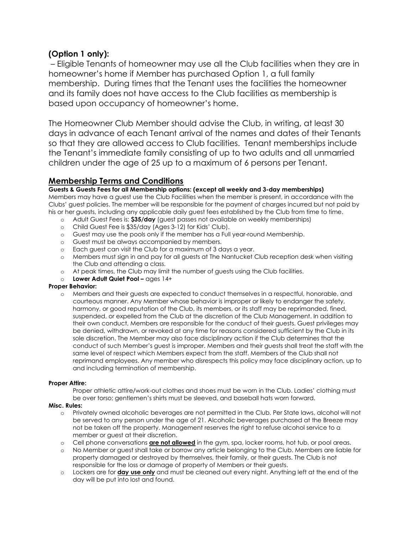# (Option 1 only):

 – Eligible Tenants of homeowner may use all the Club facilities when they are in homeowner's home if Member has purchased Option 1, a full family membership. During times that the Tenant uses the facilities the homeowner and its family does not have access to the Club facilities as membership is based upon occupancy of homeowner's home.

The Homeowner Club Member should advise the Club, in writing, at least 30 days in advance of each Tenant arrival of the names and dates of their Tenants so that they are allowed access to Club facilities. Tenant memberships include the Tenant's immediate family consisting of up to two adults and all unmarried children under the age of 25 up to a maximum of 6 persons per Tenant.

# Membership Terms and Conditions

## Guests & Guests Fees for all Membership options: (except all weekly and 3-day memberships)

Members may have a guest use the Club Facilities when the member is present, in accordance with the Clubs' guest policies. The member will be responsible for the payment of charges incurred but not paid by his or her guests, including any applicable daily guest fees established by the Club from time to time.

- o Adult Guest Fees is: \$35/day (guest passes not available on weekly memberships)
- o Child Guest Fee is \$35/day (Ages 3-12) for Kids' Club).
- o Guest may use the pools only if the member has a Full year-round Membership.
- o Guest must be always accompanied by members.
- o Each guest can visit the Club for a maximum of 3 days a year.
- o Members must sign in and pay for all guests at The Nantucket Club reception desk when visiting the Club and attending a class.
- o At peak times, the Club may limit the number of guests using the Club facilities.
- o Lower Adult Quiet Pool ages 14+

### Proper Behavior:

o Members and their guests are expected to conduct themselves in a respectful, honorable, and courteous manner. Any Member whose behavior is improper or likely to endanger the safety, harmony, or good reputation of the Club, its members, or its staff may be reprimanded, fined, suspended, or expelled from the Club at the discretion of the Club Management. In addition to their own conduct, Members are responsible for the conduct of their guests. Guest privileges may be denied, withdrawn, or revoked at any time for reasons considered sufficient by the Club in its sole discretion. The Member may also face disciplinary action if the Club determines that the conduct of such Member's guest is improper. Members and their guests shall treat the staff with the same level of respect which Members expect from the staff. Members of the Club shall not reprimand employees. Any member who disrespects this policy may face disciplinary action, up to and including termination of membership.

### Proper Attire:

Proper athletic attire/work-out clothes and shoes must be worn in the Club. Ladies' clothing must be over torso; gentlemen's shirts must be sleeved, and baseball hats worn forward.

### Misc. Rules:

- o Privately owned alcoholic beverages are not permitted in the Club. Per State laws, alcohol will not be served to any person under the age of 21. Alcoholic beverages purchased at the Breeze may not be taken off the property. Management reserves the right to refuse alcohol service to a member or guest at their discretion.
- o Cell phone conversations **are not allowed** in the gym, spa, locker rooms, hot tub, or pool areas.
- o No Member or guest shall take or borrow any article belonging to the Club. Members are liable for property damaged or destroyed by themselves, their family, or their guests. The Club is not responsible for the loss or damage of property of Members or their guests.
- $\circ$  Lockers are for **day use only** and must be cleaned out every night. Anything left at the end of the day will be put into lost and found.